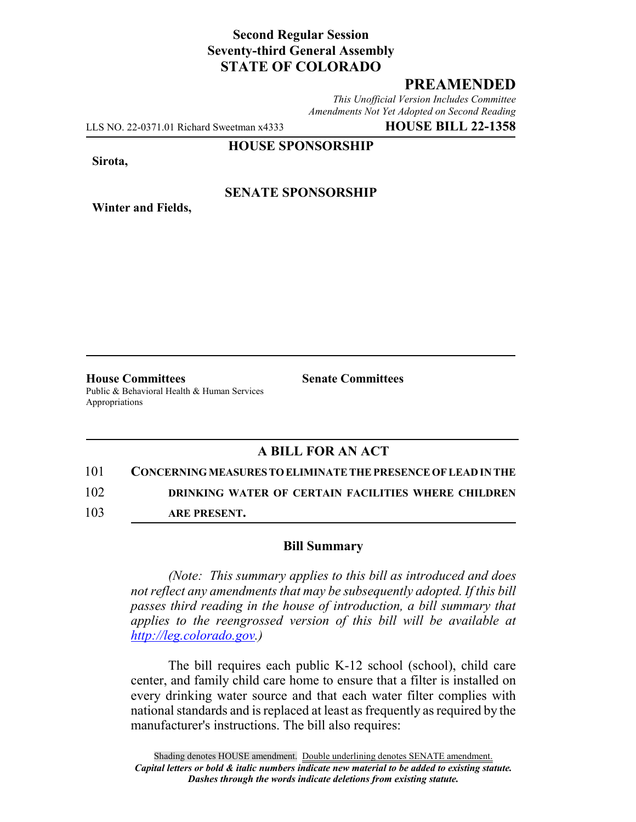# **Second Regular Session Seventy-third General Assembly STATE OF COLORADO**

# **PREAMENDED**

*This Unofficial Version Includes Committee Amendments Not Yet Adopted on Second Reading*

LLS NO. 22-0371.01 Richard Sweetman x4333 **HOUSE BILL 22-1358**

**HOUSE SPONSORSHIP**

**Sirota,**

**Winter and Fields,**

### **SENATE SPONSORSHIP**

**House Committees Senate Committees** Public & Behavioral Health & Human Services Appropriations

# **A BILL FOR AN ACT**

101 **CONCERNING MEASURES TO ELIMINATE THE PRESENCE OF LEAD IN THE** 102 **DRINKING WATER OF CERTAIN FACILITIES WHERE CHILDREN**

103 **ARE PRESENT.**

#### **Bill Summary**

*(Note: This summary applies to this bill as introduced and does not reflect any amendments that may be subsequently adopted. If this bill passes third reading in the house of introduction, a bill summary that applies to the reengrossed version of this bill will be available at http://leg.colorado.gov.)*

The bill requires each public K-12 school (school), child care center, and family child care home to ensure that a filter is installed on every drinking water source and that each water filter complies with national standards and is replaced at least as frequently as required by the manufacturer's instructions. The bill also requires: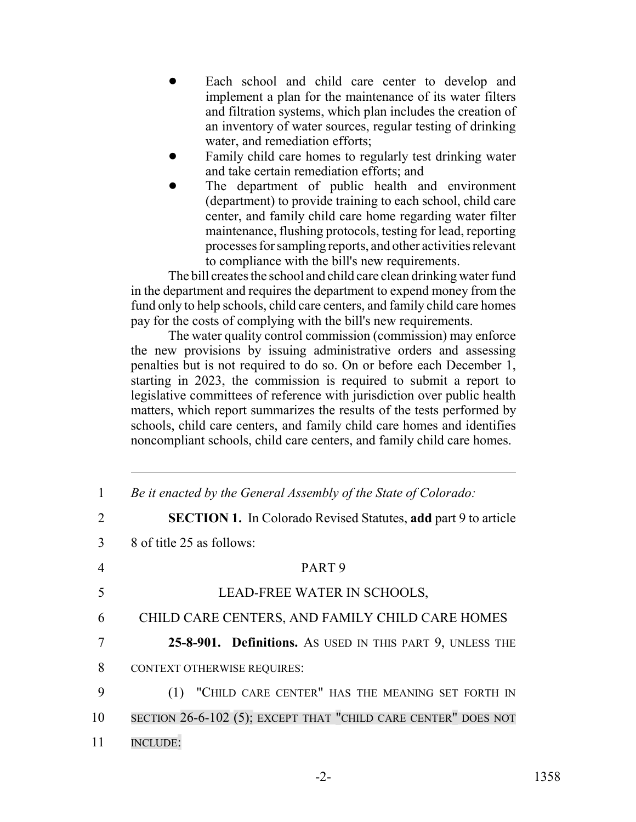- Each school and child care center to develop and implement a plan for the maintenance of its water filters and filtration systems, which plan includes the creation of an inventory of water sources, regular testing of drinking water, and remediation efforts;
- Family child care homes to regularly test drinking water and take certain remediation efforts; and
- The department of public health and environment (department) to provide training to each school, child care center, and family child care home regarding water filter maintenance, flushing protocols, testing for lead, reporting processes for sampling reports, and other activities relevant to compliance with the bill's new requirements.

The bill creates the school and child care clean drinking water fund in the department and requires the department to expend money from the fund only to help schools, child care centers, and family child care homes pay for the costs of complying with the bill's new requirements.

The water quality control commission (commission) may enforce the new provisions by issuing administrative orders and assessing penalties but is not required to do so. On or before each December 1, starting in 2023, the commission is required to submit a report to legislative committees of reference with jurisdiction over public health matters, which report summarizes the results of the tests performed by schools, child care centers, and family child care homes and identifies noncompliant schools, child care centers, and family child care homes.

| $\mathbf{1}$                | Be it enacted by the General Assembly of the State of Colorado:       |
|-----------------------------|-----------------------------------------------------------------------|
| $\mathcal{D}_{\mathcal{L}}$ | <b>SECTION 1.</b> In Colorado Revised Statutes, add part 9 to article |
| 3                           | 8 of title 25 as follows:                                             |
| 4                           | PART <sub>9</sub>                                                     |
| 5                           | LEAD-FREE WATER IN SCHOOLS,                                           |
| 6                           | CHILD CARE CENTERS, AND FAMILY CHILD CARE HOMES                       |
| 7                           | 25-8-901. Definitions. As USED IN THIS PART 9, UNLESS THE             |
| 8                           | <b>CONTEXT OTHERWISE REQUIRES:</b>                                    |
| 9                           | "CHILD CARE CENTER" HAS THE MEANING SET FORTH IN<br>(1)               |
| 10                          | SECTION 26-6-102 (5); EXCEPT THAT "CHILD CARE CENTER" DOES NOT        |
| 11                          | <b>INCLUDE:</b>                                                       |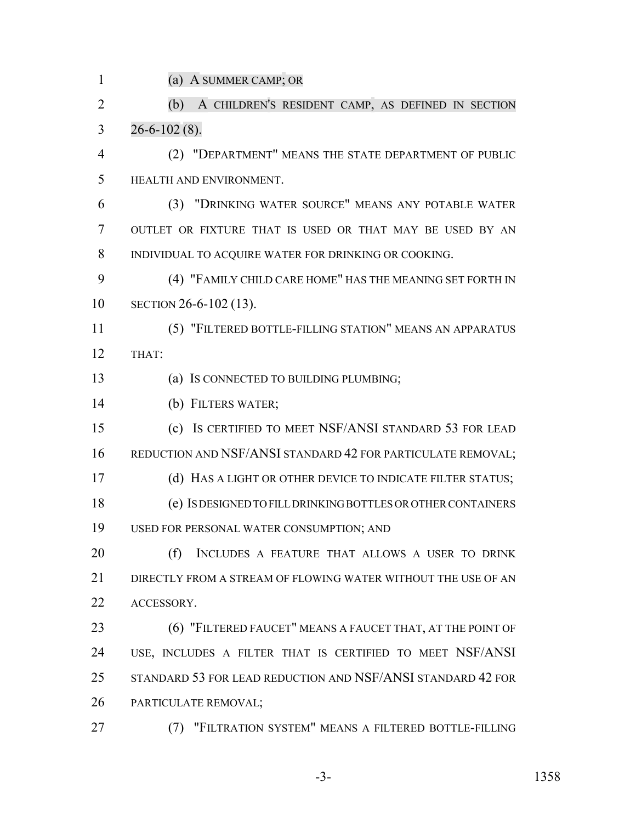(a) A SUMMER CAMP; OR

 (b) A CHILDREN'S RESIDENT CAMP, AS DEFINED IN SECTION  $3\qquad 26 - 6 - 102(8).$ 

 (2) "DEPARTMENT" MEANS THE STATE DEPARTMENT OF PUBLIC HEALTH AND ENVIRONMENT.

 (3) "DRINKING WATER SOURCE" MEANS ANY POTABLE WATER OUTLET OR FIXTURE THAT IS USED OR THAT MAY BE USED BY AN INDIVIDUAL TO ACQUIRE WATER FOR DRINKING OR COOKING.

 (4) "FAMILY CHILD CARE HOME" HAS THE MEANING SET FORTH IN SECTION 26-6-102 (13).

 (5) "FILTERED BOTTLE-FILLING STATION" MEANS AN APPARATUS THAT:

(a) IS CONNECTED TO BUILDING PLUMBING;

(b) FILTERS WATER;

 (c) IS CERTIFIED TO MEET NSF/ANSI STANDARD 53 FOR LEAD 16 REDUCTION AND NSF/ANSI STANDARD 42 FOR PARTICULATE REMOVAL;

(d) HAS A LIGHT OR OTHER DEVICE TO INDICATE FILTER STATUS;

 (e) IS DESIGNED TO FILL DRINKING BOTTLES OR OTHER CONTAINERS USED FOR PERSONAL WATER CONSUMPTION; AND

 (f) INCLUDES A FEATURE THAT ALLOWS A USER TO DRINK 21 DIRECTLY FROM A STREAM OF FLOWING WATER WITHOUT THE USE OF AN ACCESSORY.

**(6) "FILTERED FAUCET" MEANS A FAUCET THAT, AT THE POINT OF**  USE, INCLUDES A FILTER THAT IS CERTIFIED TO MEET NSF/ANSI STANDARD 53 FOR LEAD REDUCTION AND NSF/ANSI STANDARD 42 FOR PARTICULATE REMOVAL;

(7) "FILTRATION SYSTEM" MEANS A FILTERED BOTTLE-FILLING

-3- 1358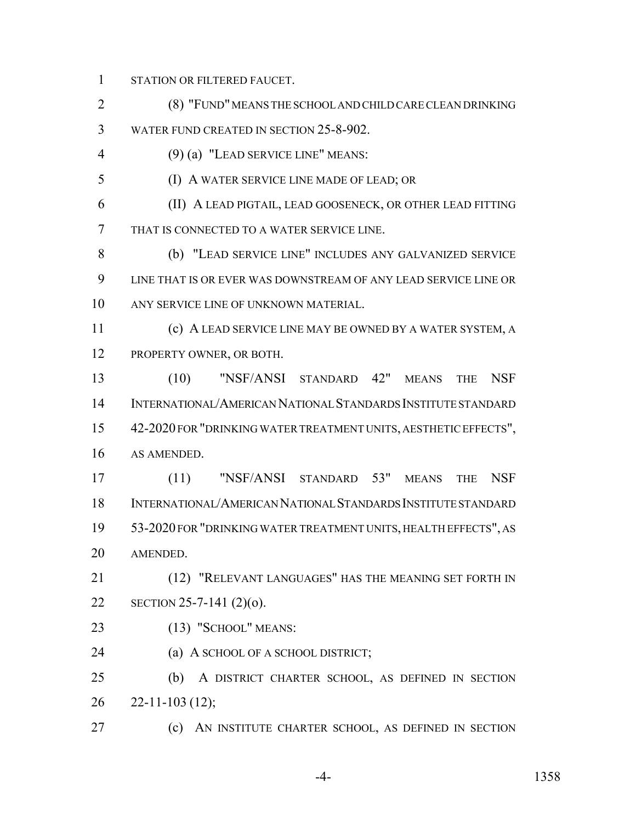STATION OR FILTERED FAUCET.

 (8) "FUND" MEANS THE SCHOOL AND CHILD CARE CLEAN DRINKING WATER FUND CREATED IN SECTION 25-8-902.

(9) (a) "LEAD SERVICE LINE" MEANS:

(I) A WATER SERVICE LINE MADE OF LEAD; OR

 (II) A LEAD PIGTAIL, LEAD GOOSENECK, OR OTHER LEAD FITTING THAT IS CONNECTED TO A WATER SERVICE LINE.

 (b) "LEAD SERVICE LINE" INCLUDES ANY GALVANIZED SERVICE LINE THAT IS OR EVER WAS DOWNSTREAM OF ANY LEAD SERVICE LINE OR ANY SERVICE LINE OF UNKNOWN MATERIAL.

 (c) A LEAD SERVICE LINE MAY BE OWNED BY A WATER SYSTEM, A PROPERTY OWNER, OR BOTH.

 (10) "NSF/ANSI STANDARD 42" MEANS THE NSF INTERNATIONAL/AMERICAN NATIONAL STANDARDS INSTITUTE STANDARD 42-2020 FOR "DRINKING WATER TREATMENT UNITS, AESTHETIC EFFECTS", AS AMENDED.

 (11) "NSF/ANSI STANDARD 53" MEANS THE NSF INTERNATIONAL/AMERICAN NATIONAL STANDARDS INSTITUTE STANDARD 53-2020 FOR "DRINKING WATER TREATMENT UNITS, HEALTH EFFECTS", AS AMENDED.

 (12) "RELEVANT LANGUAGES" HAS THE MEANING SET FORTH IN SECTION 25-7-141 (2)(o).

(13) "SCHOOL" MEANS:

**(a) A SCHOOL OF A SCHOOL DISTRICT;** 

 (b) A DISTRICT CHARTER SCHOOL, AS DEFINED IN SECTION  $26 \quad 22 - 11 - 103 \tag{12};$ 

(c) AN INSTITUTE CHARTER SCHOOL, AS DEFINED IN SECTION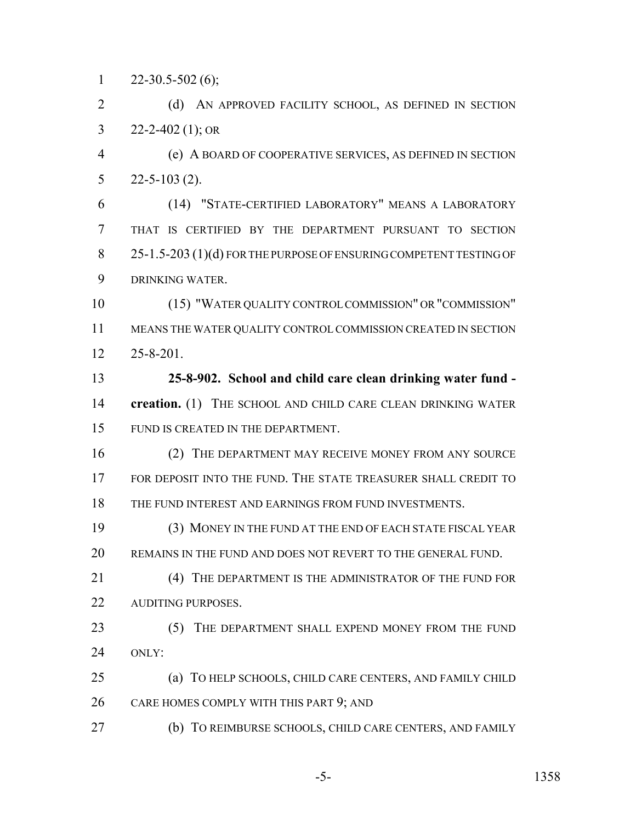$1 \qquad 22 - 30.5 - 502(6);$ 

2 (d) AN APPROVED FACILITY SCHOOL, AS DEFINED IN SECTION 3 22-2-402 (1); OR

 (e) A BOARD OF COOPERATIVE SERVICES, AS DEFINED IN SECTION 22-5-103 (2).

 (14) "STATE-CERTIFIED LABORATORY" MEANS A LABORATORY THAT IS CERTIFIED BY THE DEPARTMENT PURSUANT TO SECTION 8 25-1.5-203 (1)(d) FOR THE PURPOSE OF ENSURING COMPETENT TESTING OF DRINKING WATER.

 (15) "WATER QUALITY CONTROL COMMISSION" OR "COMMISSION" MEANS THE WATER QUALITY CONTROL COMMISSION CREATED IN SECTION 25-8-201.

 **25-8-902. School and child care clean drinking water fund - creation.** (1) THE SCHOOL AND CHILD CARE CLEAN DRINKING WATER FUND IS CREATED IN THE DEPARTMENT.

 (2) THE DEPARTMENT MAY RECEIVE MONEY FROM ANY SOURCE FOR DEPOSIT INTO THE FUND. THE STATE TREASURER SHALL CREDIT TO 18 THE FUND INTEREST AND EARNINGS FROM FUND INVESTMENTS.

 (3) MONEY IN THE FUND AT THE END OF EACH STATE FISCAL YEAR REMAINS IN THE FUND AND DOES NOT REVERT TO THE GENERAL FUND.

21 (4) THE DEPARTMENT IS THE ADMINISTRATOR OF THE FUND FOR 22 AUDITING PURPOSES.

23 (5) THE DEPARTMENT SHALL EXPEND MONEY FROM THE FUND ONLY:

 (a) TO HELP SCHOOLS, CHILD CARE CENTERS, AND FAMILY CHILD CARE HOMES COMPLY WITH THIS PART 9; AND

(b) TO REIMBURSE SCHOOLS, CHILD CARE CENTERS, AND FAMILY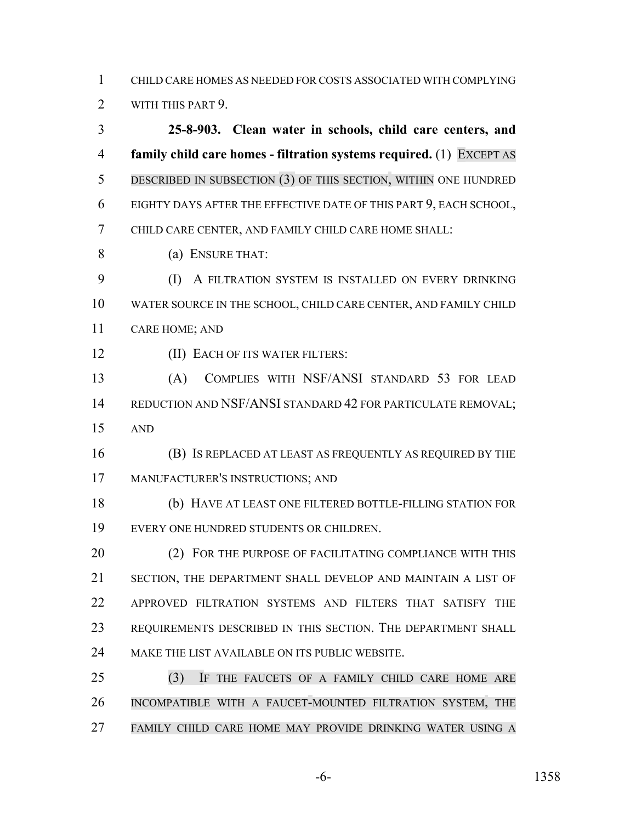CHILD CARE HOMES AS NEEDED FOR COSTS ASSOCIATED WITH COMPLYING

WITH THIS PART 9.

 **25-8-903. Clean water in schools, child care centers, and family child care homes - filtration systems required.** (1) EXCEPT AS DESCRIBED IN SUBSECTION (3) OF THIS SECTION, WITHIN ONE HUNDRED EIGHTY DAYS AFTER THE EFFECTIVE DATE OF THIS PART 9, EACH SCHOOL, CHILD CARE CENTER, AND FAMILY CHILD CARE HOME SHALL:

(a) ENSURE THAT:

 (I) A FILTRATION SYSTEM IS INSTALLED ON EVERY DRINKING WATER SOURCE IN THE SCHOOL, CHILD CARE CENTER, AND FAMILY CHILD CARE HOME; AND

**(II) EACH OF ITS WATER FILTERS:** 

 (A) COMPLIES WITH NSF/ANSI STANDARD 53 FOR LEAD 14 REDUCTION AND NSF/ANSI STANDARD 42 FOR PARTICULATE REMOVAL; AND

 (B) IS REPLACED AT LEAST AS FREQUENTLY AS REQUIRED BY THE MANUFACTURER'S INSTRUCTIONS; AND

 (b) HAVE AT LEAST ONE FILTERED BOTTLE-FILLING STATION FOR EVERY ONE HUNDRED STUDENTS OR CHILDREN.

**(2) FOR THE PURPOSE OF FACILITATING COMPLIANCE WITH THIS**  SECTION, THE DEPARTMENT SHALL DEVELOP AND MAINTAIN A LIST OF APPROVED FILTRATION SYSTEMS AND FILTERS THAT SATISFY THE REQUIREMENTS DESCRIBED IN THIS SECTION. THE DEPARTMENT SHALL MAKE THE LIST AVAILABLE ON ITS PUBLIC WEBSITE.

 (3) IF THE FAUCETS OF A FAMILY CHILD CARE HOME ARE INCOMPATIBLE WITH A FAUCET-MOUNTED FILTRATION SYSTEM, THE FAMILY CHILD CARE HOME MAY PROVIDE DRINKING WATER USING A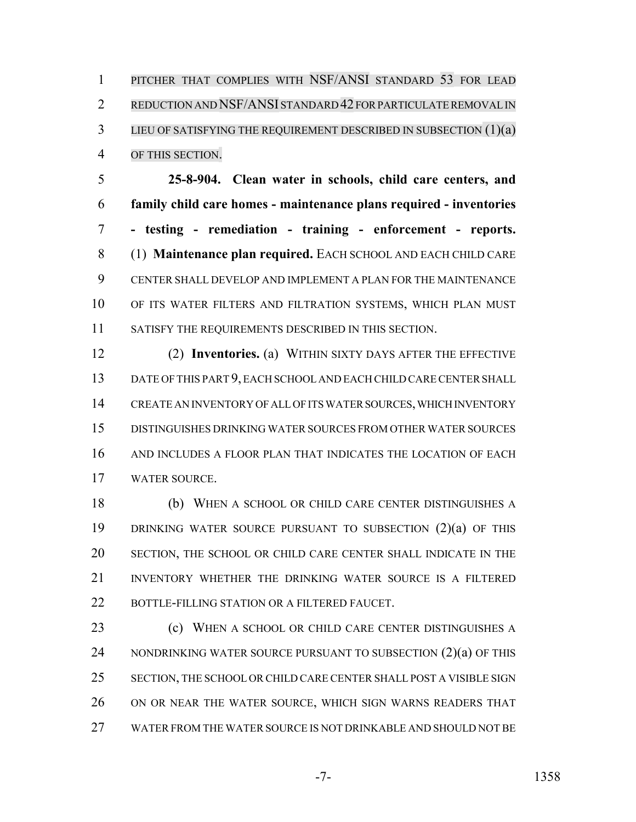PITCHER THAT COMPLIES WITH NSF/ANSI STANDARD 53 FOR LEAD REDUCTION AND NSF/ANSI STANDARD 42 FOR PARTICULATE REMOVAL IN 3 LIEU OF SATISFYING THE REQUIREMENT DESCRIBED IN SUBSECTION (1)(a) OF THIS SECTION.

 **25-8-904. Clean water in schools, child care centers, and family child care homes - maintenance plans required - inventories - testing - remediation - training - enforcement - reports.** (1) **Maintenance plan required.** EACH SCHOOL AND EACH CHILD CARE CENTER SHALL DEVELOP AND IMPLEMENT A PLAN FOR THE MAINTENANCE OF ITS WATER FILTERS AND FILTRATION SYSTEMS, WHICH PLAN MUST 11 SATISFY THE REQUIREMENTS DESCRIBED IN THIS SECTION.

 (2) **Inventories.** (a) WITHIN SIXTY DAYS AFTER THE EFFECTIVE DATE OF THIS PART 9, EACH SCHOOL AND EACH CHILD CARE CENTER SHALL CREATE AN INVENTORY OF ALL OF ITS WATER SOURCES, WHICH INVENTORY DISTINGUISHES DRINKING WATER SOURCES FROM OTHER WATER SOURCES AND INCLUDES A FLOOR PLAN THAT INDICATES THE LOCATION OF EACH WATER SOURCE.

 (b) WHEN A SCHOOL OR CHILD CARE CENTER DISTINGUISHES A 19 DRINKING WATER SOURCE PURSUANT TO SUBSECTION (2)(a) OF THIS SECTION, THE SCHOOL OR CHILD CARE CENTER SHALL INDICATE IN THE INVENTORY WHETHER THE DRINKING WATER SOURCE IS A FILTERED 22 BOTTLE-FILLING STATION OR A FILTERED FAUCET.

 (c) WHEN A SCHOOL OR CHILD CARE CENTER DISTINGUISHES A 24 NONDRINKING WATER SOURCE PURSUANT TO SUBSECTION (2)(a) OF THIS SECTION, THE SCHOOL OR CHILD CARE CENTER SHALL POST A VISIBLE SIGN ON OR NEAR THE WATER SOURCE, WHICH SIGN WARNS READERS THAT WATER FROM THE WATER SOURCE IS NOT DRINKABLE AND SHOULD NOT BE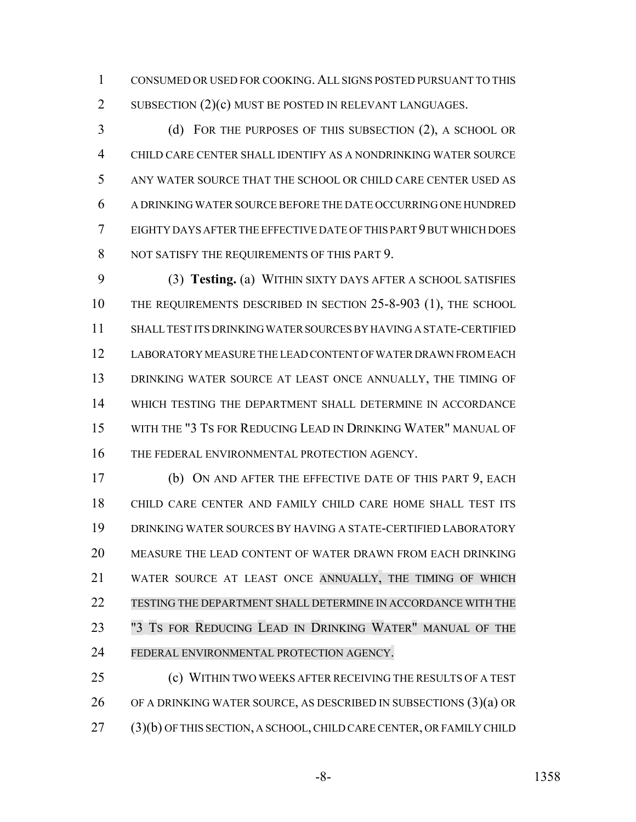CONSUMED OR USED FOR COOKING. ALL SIGNS POSTED PURSUANT TO THIS 2 SUBSECTION (2)(c) MUST BE POSTED IN RELEVANT LANGUAGES.

 (d) FOR THE PURPOSES OF THIS SUBSECTION (2), A SCHOOL OR CHILD CARE CENTER SHALL IDENTIFY AS A NONDRINKING WATER SOURCE ANY WATER SOURCE THAT THE SCHOOL OR CHILD CARE CENTER USED AS A DRINKING WATER SOURCE BEFORE THE DATE OCCURRING ONE HUNDRED EIGHTY DAYS AFTER THE EFFECTIVE DATE OF THIS PART 9 BUT WHICH DOES 8 NOT SATISFY THE REQUIREMENTS OF THIS PART 9.

 (3) **Testing.** (a) WITHIN SIXTY DAYS AFTER A SCHOOL SATISFIES THE REQUIREMENTS DESCRIBED IN SECTION 25-8-903 (1), THE SCHOOL SHALL TEST ITS DRINKING WATER SOURCES BY HAVING A STATE-CERTIFIED LABORATORY MEASURE THE LEAD CONTENT OF WATER DRAWN FROM EACH 13 DRINKING WATER SOURCE AT LEAST ONCE ANNUALLY, THE TIMING OF WHICH TESTING THE DEPARTMENT SHALL DETERMINE IN ACCORDANCE WITH THE "3 TS FOR REDUCING LEAD IN DRINKING WATER" MANUAL OF 16 THE FEDERAL ENVIRONMENTAL PROTECTION AGENCY.

 (b) ON AND AFTER THE EFFECTIVE DATE OF THIS PART 9, EACH CHILD CARE CENTER AND FAMILY CHILD CARE HOME SHALL TEST ITS DRINKING WATER SOURCES BY HAVING A STATE-CERTIFIED LABORATORY MEASURE THE LEAD CONTENT OF WATER DRAWN FROM EACH DRINKING WATER SOURCE AT LEAST ONCE ANNUALLY, THE TIMING OF WHICH TESTING THE DEPARTMENT SHALL DETERMINE IN ACCORDANCE WITH THE "3 TS FOR REDUCING LEAD IN DRINKING WATER" MANUAL OF THE FEDERAL ENVIRONMENTAL PROTECTION AGENCY.

 (c) WITHIN TWO WEEKS AFTER RECEIVING THE RESULTS OF A TEST 26 OF A DRINKING WATER SOURCE, AS DESCRIBED IN SUBSECTIONS  $(3)(a)$  OR (3)(b) OF THIS SECTION, A SCHOOL, CHILD CARE CENTER, OR FAMILY CHILD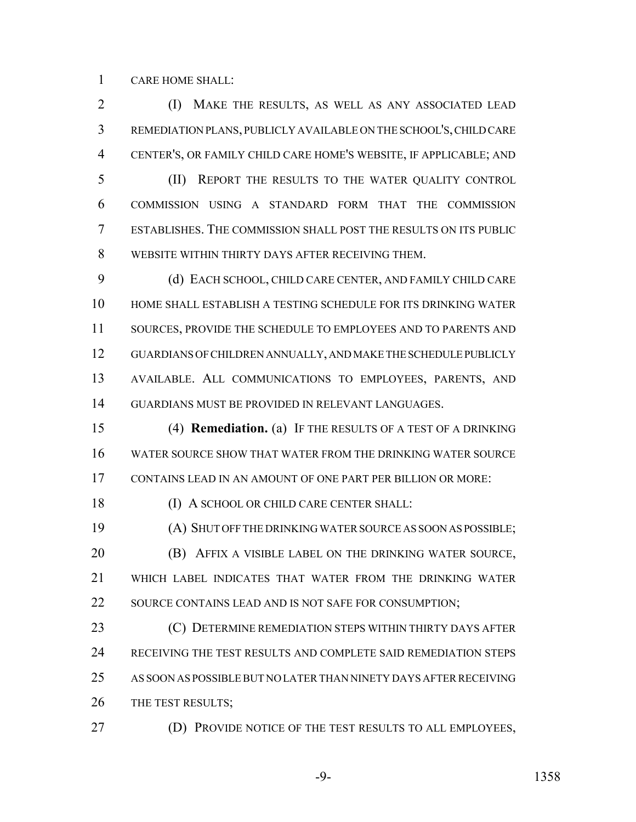CARE HOME SHALL:

 (I) MAKE THE RESULTS, AS WELL AS ANY ASSOCIATED LEAD REMEDIATION PLANS, PUBLICLY AVAILABLE ON THE SCHOOL'S, CHILD CARE CENTER'S, OR FAMILY CHILD CARE HOME'S WEBSITE, IF APPLICABLE; AND

 (II) REPORT THE RESULTS TO THE WATER QUALITY CONTROL COMMISSION USING A STANDARD FORM THAT THE COMMISSION ESTABLISHES. THE COMMISSION SHALL POST THE RESULTS ON ITS PUBLIC WEBSITE WITHIN THIRTY DAYS AFTER RECEIVING THEM.

 (d) EACH SCHOOL, CHILD CARE CENTER, AND FAMILY CHILD CARE HOME SHALL ESTABLISH A TESTING SCHEDULE FOR ITS DRINKING WATER 11 SOURCES, PROVIDE THE SCHEDULE TO EMPLOYEES AND TO PARENTS AND GUARDIANS OF CHILDREN ANNUALLY, AND MAKE THE SCHEDULE PUBLICLY AVAILABLE. ALL COMMUNICATIONS TO EMPLOYEES, PARENTS, AND GUARDIANS MUST BE PROVIDED IN RELEVANT LANGUAGES.

 (4) **Remediation.** (a) IF THE RESULTS OF A TEST OF A DRINKING WATER SOURCE SHOW THAT WATER FROM THE DRINKING WATER SOURCE CONTAINS LEAD IN AN AMOUNT OF ONE PART PER BILLION OR MORE:

18 (I) A SCHOOL OR CHILD CARE CENTER SHALL:

 (A) SHUT OFF THE DRINKING WATER SOURCE AS SOON AS POSSIBLE; (B) AFFIX A VISIBLE LABEL ON THE DRINKING WATER SOURCE, WHICH LABEL INDICATES THAT WATER FROM THE DRINKING WATER 22 SOURCE CONTAINS LEAD AND IS NOT SAFE FOR CONSUMPTION;

**CONFIDENTION STEPS WITHIN THIRTY DAYS AFTER**  RECEIVING THE TEST RESULTS AND COMPLETE SAID REMEDIATION STEPS AS SOON AS POSSIBLE BUT NO LATER THAN NINETY DAYS AFTER RECEIVING 26 THE TEST RESULTS;

(D) PROVIDE NOTICE OF THE TEST RESULTS TO ALL EMPLOYEES,

-9- 1358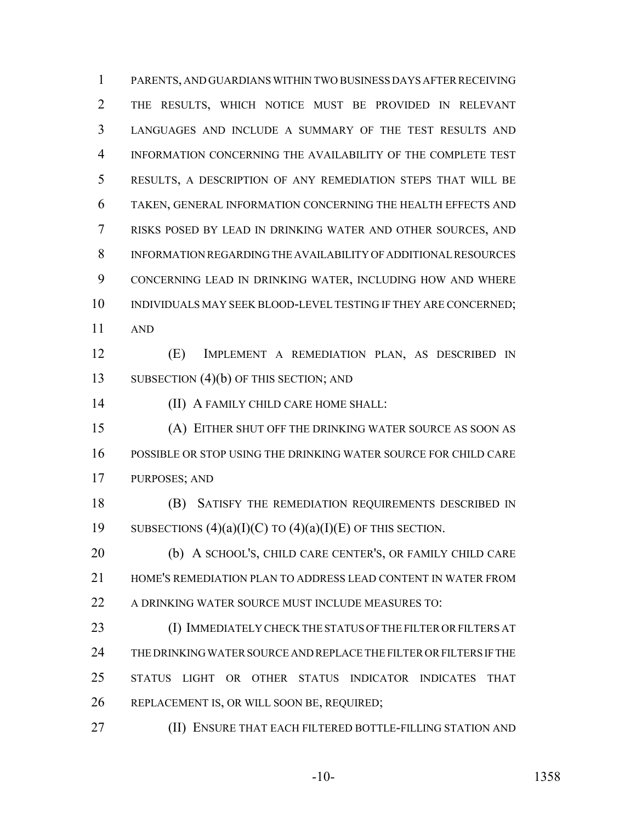PARENTS, AND GUARDIANS WITHIN TWO BUSINESS DAYS AFTER RECEIVING THE RESULTS, WHICH NOTICE MUST BE PROVIDED IN RELEVANT LANGUAGES AND INCLUDE A SUMMARY OF THE TEST RESULTS AND INFORMATION CONCERNING THE AVAILABILITY OF THE COMPLETE TEST RESULTS, A DESCRIPTION OF ANY REMEDIATION STEPS THAT WILL BE TAKEN, GENERAL INFORMATION CONCERNING THE HEALTH EFFECTS AND RISKS POSED BY LEAD IN DRINKING WATER AND OTHER SOURCES, AND INFORMATION REGARDING THE AVAILABILITY OF ADDITIONAL RESOURCES CONCERNING LEAD IN DRINKING WATER, INCLUDING HOW AND WHERE 10 INDIVIDUALS MAY SEEK BLOOD-LEVEL TESTING IF THEY ARE CONCERNED; AND (E) IMPLEMENT A REMEDIATION PLAN, AS DESCRIBED IN 13 SUBSECTION (4)(b) OF THIS SECTION; AND (II) A FAMILY CHILD CARE HOME SHALL: (A) EITHER SHUT OFF THE DRINKING WATER SOURCE AS SOON AS POSSIBLE OR STOP USING THE DRINKING WATER SOURCE FOR CHILD CARE PURPOSES; AND (B) SATISFY THE REMEDIATION REQUIREMENTS DESCRIBED IN 19 SUBSECTIONS  $(4)(a)(I)(C)$  TO  $(4)(a)(I)(E)$  OF THIS SECTION. (b) A SCHOOL'S, CHILD CARE CENTER'S, OR FAMILY CHILD CARE HOME'S REMEDIATION PLAN TO ADDRESS LEAD CONTENT IN WATER FROM A DRINKING WATER SOURCE MUST INCLUDE MEASURES TO: (I) IMMEDIATELY CHECK THE STATUS OF THE FILTER OR FILTERS AT THE DRINKING WATER SOURCE AND REPLACE THE FILTER OR FILTERS IF THE STATUS LIGHT OR OTHER STATUS INDICATOR INDICATES THAT REPLACEMENT IS, OR WILL SOON BE, REQUIRED; (II) ENSURE THAT EACH FILTERED BOTTLE-FILLING STATION AND

-10- 1358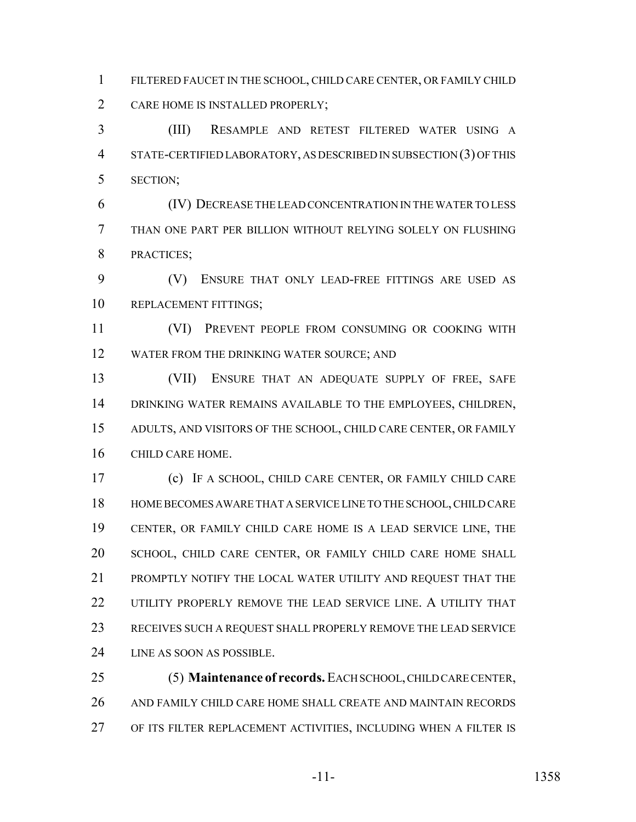FILTERED FAUCET IN THE SCHOOL, CHILD CARE CENTER, OR FAMILY CHILD CARE HOME IS INSTALLED PROPERLY;

 (III) RESAMPLE AND RETEST FILTERED WATER USING A STATE-CERTIFIED LABORATORY, AS DESCRIBED IN SUBSECTION (3) OF THIS SECTION;

 (IV) DECREASE THE LEAD CONCENTRATION IN THE WATER TO LESS THAN ONE PART PER BILLION WITHOUT RELYING SOLELY ON FLUSHING PRACTICES;

 (V) ENSURE THAT ONLY LEAD-FREE FITTINGS ARE USED AS REPLACEMENT FITTINGS;

 (VI) PREVENT PEOPLE FROM CONSUMING OR COOKING WITH WATER FROM THE DRINKING WATER SOURCE; AND

 (VII) ENSURE THAT AN ADEQUATE SUPPLY OF FREE, SAFE DRINKING WATER REMAINS AVAILABLE TO THE EMPLOYEES, CHILDREN, ADULTS, AND VISITORS OF THE SCHOOL, CHILD CARE CENTER, OR FAMILY CHILD CARE HOME.

 (c) IF A SCHOOL, CHILD CARE CENTER, OR FAMILY CHILD CARE HOME BECOMES AWARE THAT A SERVICE LINE TO THE SCHOOL, CHILD CARE CENTER, OR FAMILY CHILD CARE HOME IS A LEAD SERVICE LINE, THE SCHOOL, CHILD CARE CENTER, OR FAMILY CHILD CARE HOME SHALL 21 PROMPTLY NOTIFY THE LOCAL WATER UTILITY AND REQUEST THAT THE 22 UTILITY PROPERLY REMOVE THE LEAD SERVICE LINE. A UTILITY THAT RECEIVES SUCH A REQUEST SHALL PROPERLY REMOVE THE LEAD SERVICE LINE AS SOON AS POSSIBLE.

 (5) **Maintenance of records.** EACH SCHOOL, CHILD CARE CENTER, AND FAMILY CHILD CARE HOME SHALL CREATE AND MAINTAIN RECORDS OF ITS FILTER REPLACEMENT ACTIVITIES, INCLUDING WHEN A FILTER IS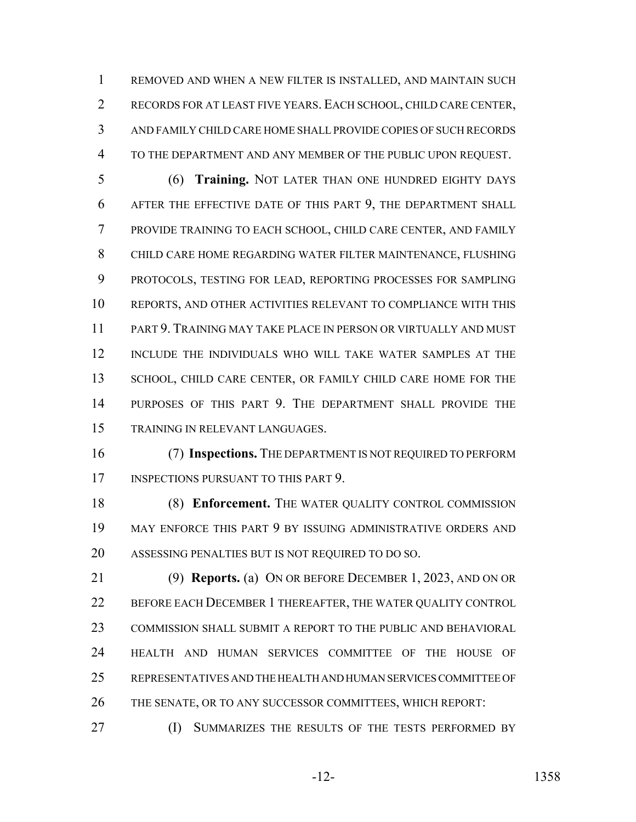REMOVED AND WHEN A NEW FILTER IS INSTALLED, AND MAINTAIN SUCH RECORDS FOR AT LEAST FIVE YEARS. EACH SCHOOL, CHILD CARE CENTER, AND FAMILY CHILD CARE HOME SHALL PROVIDE COPIES OF SUCH RECORDS TO THE DEPARTMENT AND ANY MEMBER OF THE PUBLIC UPON REQUEST.

 (6) **Training.** NOT LATER THAN ONE HUNDRED EIGHTY DAYS AFTER THE EFFECTIVE DATE OF THIS PART 9, THE DEPARTMENT SHALL PROVIDE TRAINING TO EACH SCHOOL, CHILD CARE CENTER, AND FAMILY CHILD CARE HOME REGARDING WATER FILTER MAINTENANCE, FLUSHING PROTOCOLS, TESTING FOR LEAD, REPORTING PROCESSES FOR SAMPLING REPORTS, AND OTHER ACTIVITIES RELEVANT TO COMPLIANCE WITH THIS PART 9. TRAINING MAY TAKE PLACE IN PERSON OR VIRTUALLY AND MUST INCLUDE THE INDIVIDUALS WHO WILL TAKE WATER SAMPLES AT THE 13 SCHOOL, CHILD CARE CENTER, OR FAMILY CHILD CARE HOME FOR THE PURPOSES OF THIS PART 9. THE DEPARTMENT SHALL PROVIDE THE TRAINING IN RELEVANT LANGUAGES.

 (7) **Inspections.** THE DEPARTMENT IS NOT REQUIRED TO PERFORM 17 INSPECTIONS PURSUANT TO THIS PART 9.

18 (8) **Enforcement.** The WATER QUALITY CONTROL COMMISSION MAY ENFORCE THIS PART 9 BY ISSUING ADMINISTRATIVE ORDERS AND ASSESSING PENALTIES BUT IS NOT REQUIRED TO DO SO.

 (9) **Reports.** (a) ON OR BEFORE DECEMBER 1, 2023, AND ON OR BEFORE EACH DECEMBER 1 THEREAFTER, THE WATER QUALITY CONTROL COMMISSION SHALL SUBMIT A REPORT TO THE PUBLIC AND BEHAVIORAL HEALTH AND HUMAN SERVICES COMMITTEE OF THE HOUSE OF REPRESENTATIVES AND THE HEALTH AND HUMAN SERVICES COMMITTEE OF THE SENATE, OR TO ANY SUCCESSOR COMMITTEES, WHICH REPORT:

**(I) SUMMARIZES THE RESULTS OF THE TESTS PERFORMED BY**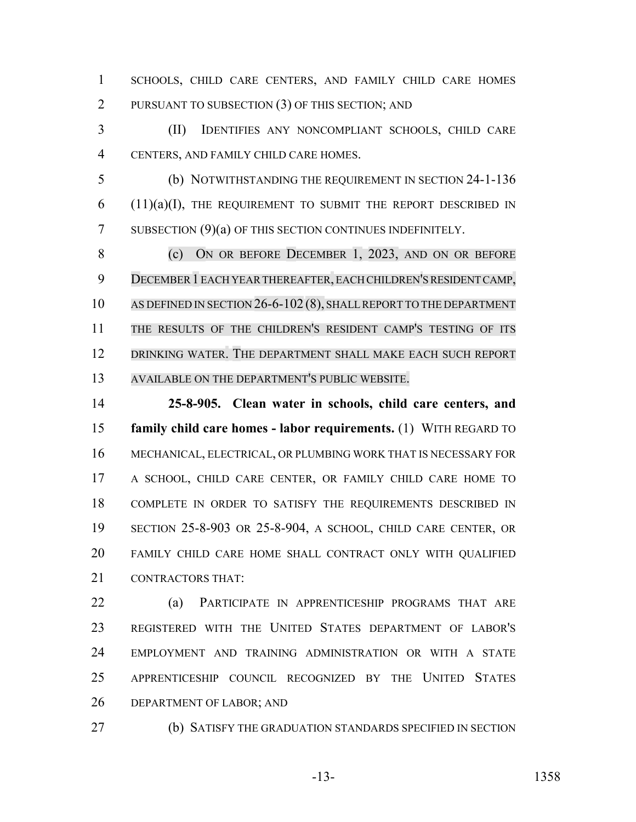SCHOOLS, CHILD CARE CENTERS, AND FAMILY CHILD CARE HOMES 2 PURSUANT TO SUBSECTION (3) OF THIS SECTION; AND

 (II) IDENTIFIES ANY NONCOMPLIANT SCHOOLS, CHILD CARE CENTERS, AND FAMILY CHILD CARE HOMES.

 (b) NOTWITHSTANDING THE REQUIREMENT IN SECTION 24-1-136 (11)(a)(I), THE REQUIREMENT TO SUBMIT THE REPORT DESCRIBED IN 7 SUBSECTION (9)(a) OF THIS SECTION CONTINUES INDEFINITELY.

 (c) ON OR BEFORE DECEMBER 1, 2023, AND ON OR BEFORE DECEMBER 1EACH YEARTHEREAFTER,EACH CHILDREN'S RESIDENT CAMP, 10 AS DEFINED IN SECTION 26-6-102 (8), SHALL REPORT TO THE DEPARTMENT THE RESULTS OF THE CHILDREN'S RESIDENT CAMP'S TESTING OF ITS 12 DRINKING WATER. THE DEPARTMENT SHALL MAKE EACH SUCH REPORT AVAILABLE ON THE DEPARTMENT'S PUBLIC WEBSITE.

 **25-8-905. Clean water in schools, child care centers, and family child care homes - labor requirements.** (1) WITH REGARD TO MECHANICAL, ELECTRICAL, OR PLUMBING WORK THAT IS NECESSARY FOR A SCHOOL, CHILD CARE CENTER, OR FAMILY CHILD CARE HOME TO COMPLETE IN ORDER TO SATISFY THE REQUIREMENTS DESCRIBED IN SECTION 25-8-903 OR 25-8-904, A SCHOOL, CHILD CARE CENTER, OR FAMILY CHILD CARE HOME SHALL CONTRACT ONLY WITH QUALIFIED CONTRACTORS THAT:

 (a) PARTICIPATE IN APPRENTICESHIP PROGRAMS THAT ARE REGISTERED WITH THE UNITED STATES DEPARTMENT OF LABOR'S EMPLOYMENT AND TRAINING ADMINISTRATION OR WITH A STATE APPRENTICESHIP COUNCIL RECOGNIZED BY THE UNITED STATES DEPARTMENT OF LABOR; AND

(b) SATISFY THE GRADUATION STANDARDS SPECIFIED IN SECTION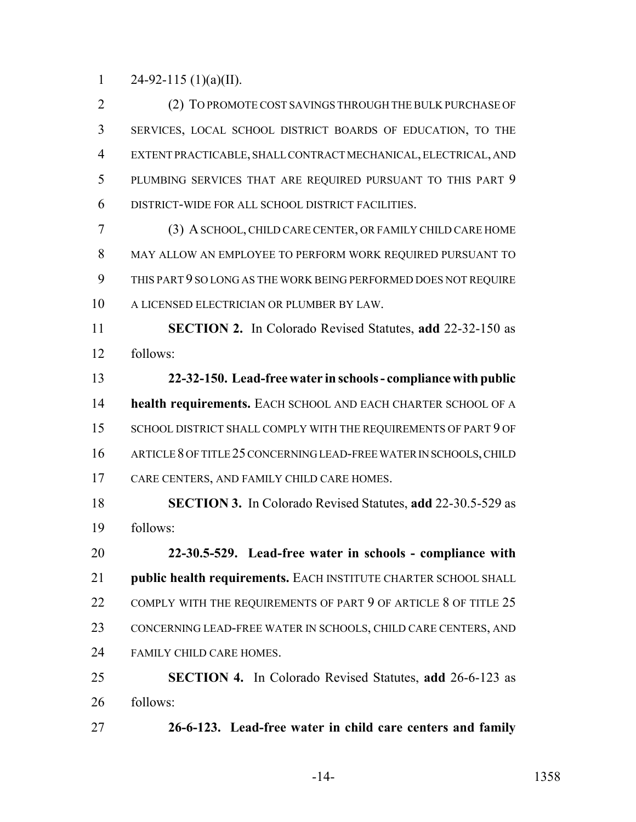1 24-92-115 (1)(a)(II).

 (2) TO PROMOTE COST SAVINGS THROUGH THE BULK PURCHASE OF SERVICES, LOCAL SCHOOL DISTRICT BOARDS OF EDUCATION, TO THE EXTENT PRACTICABLE, SHALL CONTRACT MECHANICAL, ELECTRICAL, AND PLUMBING SERVICES THAT ARE REQUIRED PURSUANT TO THIS PART 9 DISTRICT-WIDE FOR ALL SCHOOL DISTRICT FACILITIES.

 (3) A SCHOOL, CHILD CARE CENTER, OR FAMILY CHILD CARE HOME MAY ALLOW AN EMPLOYEE TO PERFORM WORK REQUIRED PURSUANT TO THIS PART 9 SO LONG AS THE WORK BEING PERFORMED DOES NOT REQUIRE A LICENSED ELECTRICIAN OR PLUMBER BY LAW.

 **SECTION 2.** In Colorado Revised Statutes, **add** 22-32-150 as follows:

 **22-32-150. Lead-free water in schools - compliance with public health requirements.** EACH SCHOOL AND EACH CHARTER SCHOOL OF A 15 SCHOOL DISTRICT SHALL COMPLY WITH THE REQUIREMENTS OF PART 9 OF ARTICLE 8 OF TITLE 25 CONCERNING LEAD-FREE WATER IN SCHOOLS, CHILD CARE CENTERS, AND FAMILY CHILD CARE HOMES.

 **SECTION 3.** In Colorado Revised Statutes, **add** 22-30.5-529 as follows:

 **22-30.5-529. Lead-free water in schools - compliance with public health requirements.** EACH INSTITUTE CHARTER SCHOOL SHALL 22 COMPLY WITH THE REQUIREMENTS OF PART 9 OF ARTICLE 8 OF TITLE 25 CONCERNING LEAD-FREE WATER IN SCHOOLS, CHILD CARE CENTERS, AND FAMILY CHILD CARE HOMES.

 **SECTION 4.** In Colorado Revised Statutes, **add** 26-6-123 as follows:

**26-6-123. Lead-free water in child care centers and family**